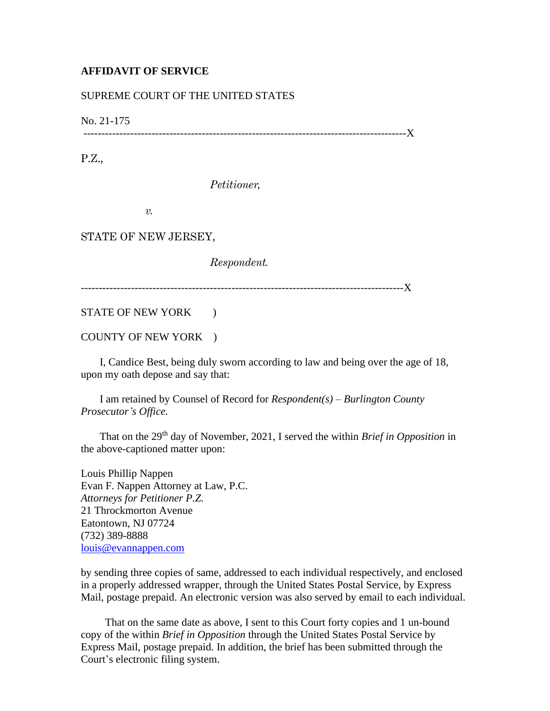## **AFFIDAVIT OF SERVICE**

## SUPREME COURT OF THE UNITED STATES

No. 21-175

------------------------------------------------------------------------------------------X

P.Z.,

*Petitioner,*

*v.*

STATE OF NEW JERSEY,

*Respondent.*

------------------------------------------------------------------------------------------X

STATE OF NEW YORK  $\qquad$  )

COUNTY OF NEW YORK )

 I, Candice Best, being duly sworn according to law and being over the age of 18, upon my oath depose and say that:

 I am retained by Counsel of Record for *Respondent(s) – Burlington County Prosecutor's Office.*

 That on the 29th day of November, 2021, I served the within *Brief in Opposition* in the above-captioned matter upon:

Louis Phillip Nappen Evan F. Nappen Attorney at Law, P.C. *Attorneys for Petitioner P.Z.* 21 Throckmorton Avenue Eatontown, NJ 07724 (732) 389-8888 [louis@evannappen.com](mailto:louis@evannappen.com)

by sending three copies of same, addressed to each individual respectively, and enclosed in a properly addressed wrapper, through the United States Postal Service, by Express Mail, postage prepaid. An electronic version was also served by email to each individual.

 That on the same date as above, I sent to this Court forty copies and 1 un-bound copy of the within *Brief in Opposition* through the United States Postal Service by Express Mail, postage prepaid. In addition, the brief has been submitted through the Court's electronic filing system.